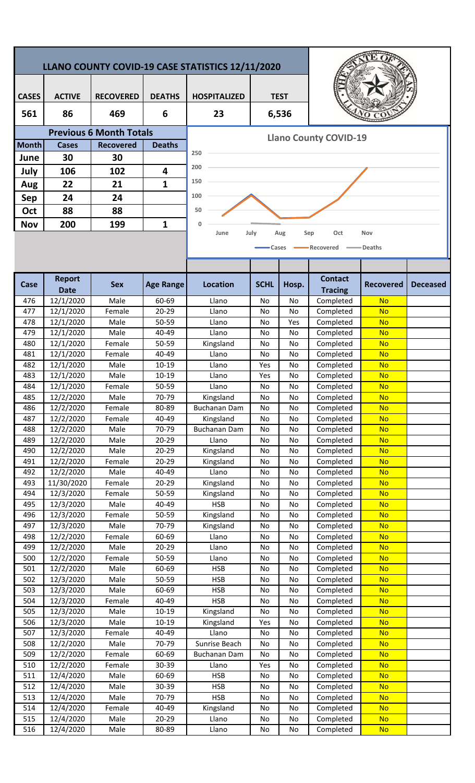|                                |                                                                          |                  |                    | LLANO COUNTY COVID-19 CASE STATISTICS 12/11/2020 |             |             |                        |                        |                 |  |  |
|--------------------------------|--------------------------------------------------------------------------|------------------|--------------------|--------------------------------------------------|-------------|-------------|------------------------|------------------------|-----------------|--|--|
| <b>CASES</b>                   | <b>ACTIVE</b>                                                            | <b>RECOVERED</b> | <b>DEATHS</b>      | <b>HOSPITALIZED</b>                              |             | <b>TEST</b> |                        |                        |                 |  |  |
| 561                            | 86                                                                       | 469              | 6                  | 23                                               |             | 6,536       |                        |                        |                 |  |  |
| <b>Previous 6 Month Totals</b> |                                                                          |                  |                    |                                                  |             |             |                        |                        |                 |  |  |
| <b>Month</b>                   | <b>Cases</b>                                                             | <b>Recovered</b> | <b>Deaths</b>      | <b>Llano County COVID-19</b>                     |             |             |                        |                        |                 |  |  |
| June                           | 30                                                                       | 30               |                    | 250                                              |             |             |                        |                        |                 |  |  |
| July                           | 106                                                                      | 102              | 4                  | 200                                              |             |             |                        |                        |                 |  |  |
|                                |                                                                          |                  |                    | 150                                              |             |             |                        |                        |                 |  |  |
| Aug                            | 22                                                                       | 21               | $\mathbf{1}$       |                                                  |             |             |                        |                        |                 |  |  |
| Sep                            | 24                                                                       | 24               |                    | 100                                              |             |             |                        |                        |                 |  |  |
| Oct                            | 88                                                                       | 88               |                    | 50                                               |             |             |                        |                        |                 |  |  |
| <b>Nov</b>                     | 200                                                                      | 199              | $\mathbf 1$        | 0                                                |             |             |                        |                        |                 |  |  |
|                                | July<br>Sep<br>Oct<br>Nov<br>June<br>Aug<br>Recovered<br>Deaths<br>Cases |                  |                    |                                                  |             |             |                        |                        |                 |  |  |
|                                | <b>Report</b>                                                            |                  |                    |                                                  |             |             | <b>Contact</b>         |                        |                 |  |  |
| <b>Case</b>                    | <b>Date</b>                                                              | <b>Sex</b>       | <b>Age Range</b>   | <b>Location</b>                                  | <b>SCHL</b> | Hosp.       | <b>Tracing</b>         | <b>Recovered</b>       | <b>Deceased</b> |  |  |
| 476                            | 12/1/2020                                                                | Male             | 60-69              | Llano                                            | No          | No          | Completed              | <b>No</b>              |                 |  |  |
| 477                            | 12/1/2020                                                                | Female           | 20-29              | Llano                                            | No          | No          | Completed              | <b>No</b>              |                 |  |  |
| 478                            | 12/1/2020                                                                | Male             | 50-59              | Llano                                            | No          | Yes         | Completed              | <b>No</b>              |                 |  |  |
| 479                            | 12/1/2020                                                                | Male             | 40-49              | Llano                                            | No          | No          | Completed              | <b>No</b>              |                 |  |  |
| 480                            | 12/1/2020                                                                | Female           | 50-59              | Kingsland                                        | No          | No          | Completed              | <b>No</b>              |                 |  |  |
| 481                            | 12/1/2020                                                                | Female           | 40-49              | Llano                                            | No          | No          | Completed              | <b>No</b>              |                 |  |  |
| 482                            | 12/1/2020                                                                | Male             | $10 - 19$          | Llano                                            | Yes         | No          | Completed              | <b>No</b>              |                 |  |  |
| 483                            | 12/1/2020                                                                | Male             | $10 - 19$          | Llano                                            | Yes         | No          | Completed              | <b>No</b>              |                 |  |  |
| 484                            | 12/1/2020                                                                | Female           | 50-59              | Llano                                            | No          | No          | Completed              | <b>No</b>              |                 |  |  |
| 485                            | 12/2/2020                                                                | Male             | 70-79              | Kingsland                                        | No          | No          | Completed              | <b>No</b>              |                 |  |  |
| 486<br>487                     | 12/2/2020                                                                | Female           | 80-89<br>40-49     | <b>Buchanan Dam</b>                              | No          | No          | Completed              | <b>No</b>              |                 |  |  |
| 488                            | 12/2/2020<br>12/2/2020                                                   | Female<br>Male   | 70-79              | Kingsland<br><b>Buchanan Dam</b>                 | No<br>No    | No<br>No    | Completed<br>Completed | <b>No</b><br><b>No</b> |                 |  |  |
| 489                            | 12/2/2020                                                                | Male             | $20 - 29$          | Llano                                            | No          | No          | Completed              | <b>No</b>              |                 |  |  |
| 490                            | 12/2/2020                                                                | Male             | 20-29              | Kingsland                                        | No          | No          | Completed              | <b>No</b>              |                 |  |  |
| 491                            | 12/2/2020                                                                | Female           | 20-29              | Kingsland                                        | No          | No          | Completed              | <b>No</b>              |                 |  |  |
| 492                            | 12/2/2020                                                                | Male             | 40-49              | Llano                                            | No          | No          | Completed              | <b>No</b>              |                 |  |  |
| 493                            | 11/30/2020                                                               | Female           | 20-29              | Kingsland                                        | No          | No          | Completed              | <b>No</b>              |                 |  |  |
| 494                            | 12/3/2020                                                                | Female           | 50-59              | Kingsland                                        | No          | No          | Completed              | <b>No</b>              |                 |  |  |
| 495                            | 12/3/2020                                                                | Male             | 40-49              | <b>HSB</b>                                       | No          | No          | Completed              | <b>No</b>              |                 |  |  |
| 496<br>497                     | 12/3/2020                                                                | Female<br>Male   | $50 - 59$<br>70-79 | Kingsland                                        | No          | No          | Completed              | <b>No</b>              |                 |  |  |
| 498                            | 12/3/2020<br>12/2/2020                                                   | Female           | 60-69              | Kingsland<br>Llano                               | No<br>No    | No<br>No    | Completed<br>Completed | <b>No</b><br><b>No</b> |                 |  |  |
| 499                            | 12/2/2020                                                                | Male             | $20 - 29$          | Llano                                            | No          | No          | Completed              | <b>No</b>              |                 |  |  |
| 500                            | 12/2/2020                                                                | Female           | 50-59              | Llano                                            | No          | No          | Completed              | <b>No</b>              |                 |  |  |
| 501                            | 12/2/2020                                                                | Male             | 60-69              | <b>HSB</b>                                       | No          | No          | Completed              | <b>No</b>              |                 |  |  |
| 502                            | 12/3/2020                                                                | Male             | $50 - 59$          | <b>HSB</b>                                       | No          | No          | Completed              | <b>No</b>              |                 |  |  |
| 503                            | 12/3/2020                                                                | Male             | 60-69              | <b>HSB</b>                                       | No          | No          | Completed              | <b>No</b>              |                 |  |  |
| 504                            | 12/3/2020                                                                | Female           | 40-49              | <b>HSB</b>                                       | No          | No          | Completed              | <b>No</b>              |                 |  |  |
| 505                            | 12/3/2020                                                                | Male             | $10 - 19$          | Kingsland                                        | No          | No          | Completed              | <b>No</b>              |                 |  |  |
| 506                            | 12/3/2020                                                                | Male             | $10 - 19$          | Kingsland                                        | Yes         | No          | Completed              | <b>No</b>              |                 |  |  |
| 507<br>508                     | 12/3/2020<br>12/2/2020                                                   | Female<br>Male   | 40-49<br>70-79     | Llano<br>Sunrise Beach                           | No<br>No    | No<br>No    | Completed<br>Completed | <b>No</b><br><b>No</b> |                 |  |  |
| 509                            | 12/2/2020                                                                | Female           | 60-69              | <b>Buchanan Dam</b>                              | No          | No          | Completed              | <b>No</b>              |                 |  |  |
| 510                            | 12/2/2020                                                                | Female           | 30-39              | Llano                                            | Yes         | No          | Completed              | <b>No</b>              |                 |  |  |
| 511                            | 12/4/2020                                                                | Male             | 60-69              | <b>HSB</b>                                       | No          | No          | Completed              | <b>No</b>              |                 |  |  |
| 512                            | 12/4/2020                                                                | Male             | 30-39              | <b>HSB</b>                                       | No          | No          | Completed              | <b>No</b>              |                 |  |  |
| 513                            | 12/4/2020                                                                | Male             | 70-79              | <b>HSB</b>                                       | No          | No          | Completed              | <b>No</b>              |                 |  |  |
| 514                            | 12/4/2020                                                                | Female           | 40-49              | Kingsland                                        | No          | No          | Completed              | <b>No</b>              |                 |  |  |
| 515                            | 12/4/2020                                                                | Male             | 20-29              | Llano                                            | No          | No          | Completed              | <b>No</b>              |                 |  |  |
| 516                            | 12/4/2020                                                                | Male             | 80-89              | Llano                                            | No          | No          | Completed              | <b>No</b>              |                 |  |  |